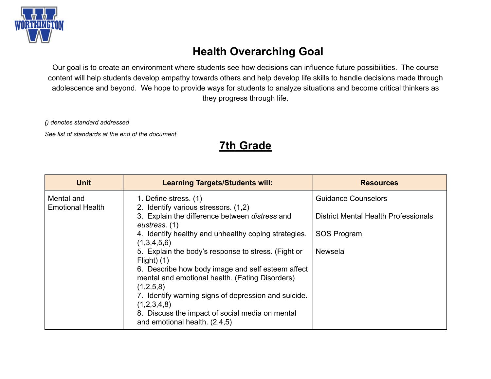

## **Health Overarching Goal**

Our goal is to create an environment where students see how decisions can influence future possibilities. The course content will help students develop empathy towards others and help develop life skills to handle decisions made through adolescence and beyond. We hope to provide ways for students to analyze situations and become critical thinkers as they progress through life.

*() denotes standard addressed*

*See list of standards at the end of the document*

## **7th Grade**

| <b>Unit</b>                           | <b>Learning Targets/Students will:</b>                                                               | <b>Resources</b>                            |
|---------------------------------------|------------------------------------------------------------------------------------------------------|---------------------------------------------|
| Mental and<br><b>Emotional Health</b> | 1. Define stress. (1)<br>2. Identify various stressors. (1,2)                                        | <b>Guidance Counselors</b>                  |
|                                       | 3. Explain the difference between distress and<br>eustress. (1)                                      | <b>District Mental Health Professionals</b> |
|                                       | 4. Identify healthy and unhealthy coping strategies.<br>(1,3,4,5,6)                                  | SOS Program                                 |
|                                       | 5. Explain the body's response to stress. (Fight or<br>Flight $)$ (1)                                | <b>Newsela</b>                              |
|                                       | 6. Describe how body image and self esteem affect<br>mental and emotional health. (Eating Disorders) |                                             |
|                                       | (1,2,5,8)<br>7. Identify warning signs of depression and suicide.                                    |                                             |
|                                       | (1,2,3,4,8)<br>8. Discuss the impact of social media on mental<br>and emotional health. (2,4,5)      |                                             |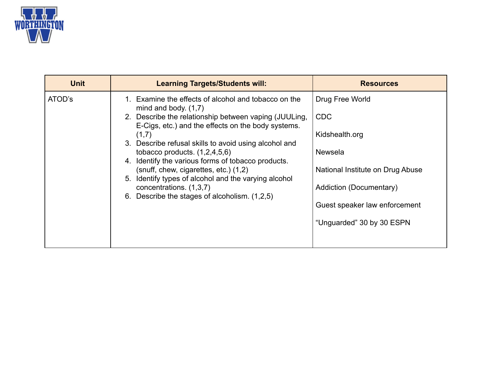

| <b>Unit</b> | <b>Learning Targets/Students will:</b>                                                                                                                                                                                                                                                                                                                                                                                                                                                                                                | <b>Resources</b>                                                                                                                                                                               |
|-------------|---------------------------------------------------------------------------------------------------------------------------------------------------------------------------------------------------------------------------------------------------------------------------------------------------------------------------------------------------------------------------------------------------------------------------------------------------------------------------------------------------------------------------------------|------------------------------------------------------------------------------------------------------------------------------------------------------------------------------------------------|
| ATOD's      | 1. Examine the effects of alcohol and tobacco on the<br>mind and body. $(1,7)$<br>2. Describe the relationship between vaping (JUULing,<br>E-Cigs, etc.) and the effects on the body systems.<br>(1,7)<br>3. Describe refusal skills to avoid using alcohol and<br>tobacco products. $(1,2,4,5,6)$<br>4. Identify the various forms of tobacco products.<br>(snuff, chew, cigarettes, etc.) (1,2)<br>5. Identify types of alcohol and the varying alcohol<br>concentrations. (1,3,7)<br>6. Describe the stages of alcoholism. (1,2,5) | Drug Free World<br><b>CDC</b><br>Kidshealth.org<br><b>Newsela</b><br>National Institute on Drug Abuse<br>Addiction (Documentary)<br>Guest speaker law enforcement<br>"Unguarded" 30 by 30 ESPN |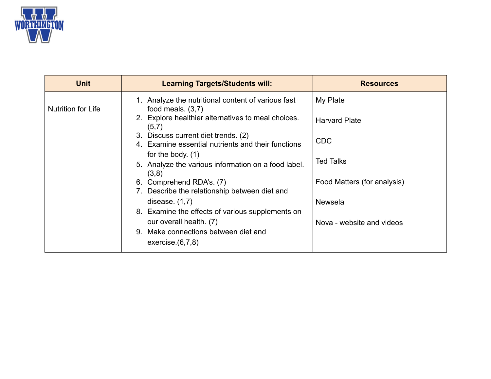

| <b>Unit</b>               | <b>Learning Targets/Students will:</b>                                                    | <b>Resources</b>            |
|---------------------------|-------------------------------------------------------------------------------------------|-----------------------------|
| <b>Nutrition for Life</b> | 1. Analyze the nutritional content of various fast<br>food meals. $(3,7)$                 | My Plate                    |
|                           | 2. Explore healthier alternatives to meal choices.<br>(5,7)                               | <b>Harvard Plate</b>        |
|                           | 3. Discuss current diet trends. (2)<br>4. Examine essential nutrients and their functions | <b>CDC</b>                  |
|                           | for the body. $(1)$<br>5. Analyze the various information on a food label.                | Ted Talks                   |
|                           | (3,8)<br>6. Comprehend RDA's. (7)<br>7. Describe the relationship between diet and        | Food Matters (for analysis) |
|                           | disease. $(1,7)$                                                                          | <b>Newsela</b>              |
|                           | 8. Examine the effects of various supplements on<br>our overall health. (7)               | Nova - website and videos   |
|                           | 9. Make connections between diet and<br>exercise $(6,7,8)$                                |                             |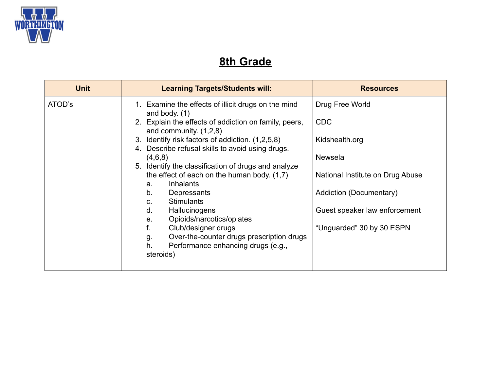

# **8th Grade**

| <b>Unit</b> | <b>Learning Targets/Students will:</b>                                                                   | <b>Resources</b>                 |
|-------------|----------------------------------------------------------------------------------------------------------|----------------------------------|
| ATOD's      | 1. Examine the effects of illicit drugs on the mind<br>and body. $(1)$                                   | Drug Free World                  |
|             | 2. Explain the effects of addiction on family, peers,<br>and community. $(1,2,8)$                        | <b>CDC</b>                       |
|             | 3. Identify risk factors of addiction. (1,2,5,8)<br>4. Describe refusal skills to avoid using drugs.     | Kidshealth.org                   |
|             | (4,6,8)<br>5. Identify the classification of drugs and analyze                                           | <b>Newsela</b>                   |
|             | the effect of each on the human body. $(1,7)$<br><b>Inhalants</b><br>$a_{\cdot}$                         | National Institute on Drug Abuse |
|             | b.<br>Depressants<br><b>Stimulants</b><br>C.                                                             | Addiction (Documentary)          |
|             | d.<br>Hallucinogens<br>Opioids/narcotics/opiates<br>e.                                                   | Guest speaker law enforcement    |
|             | Club/designer drugs<br>f.                                                                                | "Unguarded" 30 by 30 ESPN        |
|             | Over-the-counter drugs prescription drugs<br>g.<br>Performance enhancing drugs (e.g.,<br>h.<br>steroids) |                                  |
|             |                                                                                                          |                                  |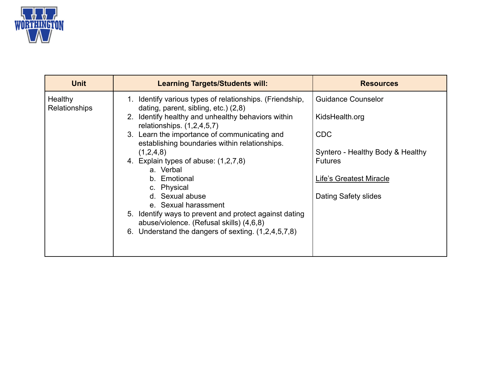

| <b>Unit</b>                     | <b>Learning Targets/Students will:</b>                                                                                                                                                                                                                                                                                                                                                                                                                                                                                                                                                              | <b>Resources</b>                                                                                                                                                   |
|---------------------------------|-----------------------------------------------------------------------------------------------------------------------------------------------------------------------------------------------------------------------------------------------------------------------------------------------------------------------------------------------------------------------------------------------------------------------------------------------------------------------------------------------------------------------------------------------------------------------------------------------------|--------------------------------------------------------------------------------------------------------------------------------------------------------------------|
| Healthy<br><b>Relationships</b> | 1. Identify various types of relationships. (Friendship,<br>dating, parent, sibling, etc.) (2,8)<br>2. Identify healthy and unhealthy behaviors within<br>relationships. $(1,2,4,5,7)$<br>3. Learn the importance of communicating and<br>establishing boundaries within relationships.<br>(1,2,4,8)<br>4. Explain types of abuse: (1,2,7,8)<br>a. Verbal<br>b. Emotional<br>c. Physical<br>d. Sexual abuse<br>e. Sexual harassment<br>5. Identify ways to prevent and protect against dating<br>abuse/violence. (Refusal skills) (4,6,8)<br>Understand the dangers of sexting. (1,2,4,5,7,8)<br>6. | <b>Guidance Counselor</b><br>KidsHealth.org<br><b>CDC</b><br>Syntero - Healthy Body & Healthy<br><b>Futures</b><br>Life's Greatest Miracle<br>Dating Safety slides |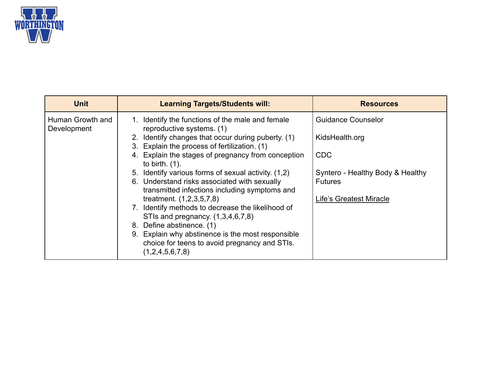

| <b>Unit</b>                     | <b>Learning Targets/Students will:</b>                                                                                | <b>Resources</b>                 |
|---------------------------------|-----------------------------------------------------------------------------------------------------------------------|----------------------------------|
| Human Growth and<br>Development | Identify the functions of the male and female<br>reproductive systems. (1)                                            | <b>Guidance Counselor</b>        |
|                                 | 2. Identify changes that occur during puberty. (1)<br>3. Explain the process of fertilization. (1)                    | KidsHealth.org                   |
|                                 | 4. Explain the stages of pregnancy from conception<br>to birth. $(1)$ .                                               | <b>CDC</b>                       |
|                                 | 5. Identify various forms of sexual activity. (1,2)                                                                   | Syntero - Healthy Body & Healthy |
|                                 | 6. Understand risks associated with sexually<br>transmitted infections including symptoms and                         | <b>Futures</b>                   |
|                                 | treatment. $(1,2,3,5,7,8)$                                                                                            | Life's Greatest Miracle          |
|                                 | 7. Identify methods to decrease the likelihood of                                                                     |                                  |
|                                 | STIs and pregnancy. $(1,3,4,6,7,8)$                                                                                   |                                  |
|                                 | 8. Define abstinence. (1)                                                                                             |                                  |
|                                 | 9. Explain why abstinence is the most responsible<br>choice for teens to avoid pregnancy and STIs.<br>(1,2,4,5,6,7,8) |                                  |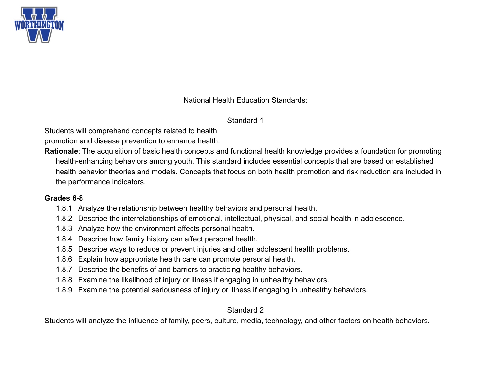

National Health Education Standards:

Standard 1

Students will comprehend concepts related to health

promotion and disease prevention to enhance health.

**Rationale**: The acquisition of basic health concepts and functional health knowledge provides a foundation for promoting health-enhancing behaviors among youth. This standard includes essential concepts that are based on established health behavior theories and models. Concepts that focus on both health promotion and risk reduction are included in the performance indicators.

#### **Grades 6-8**

- 1.8.1 Analyze the relationship between healthy behaviors and personal health.
- 1.8.2 Describe the interrelationships of emotional, intellectual, physical, and social health in adolescence.
- 1.8.3 Analyze how the environment affects personal health.
- 1.8.4 Describe how family history can affect personal health.
- 1.8.5 Describe ways to reduce or prevent injuries and other adolescent health problems.
- 1.8.6 Explain how appropriate health care can promote personal health.
- 1.8.7 Describe the benefits of and barriers to practicing healthy behaviors.
- 1.8.8 Examine the likelihood of injury or illness if engaging in unhealthy behaviors.
- 1.8.9 Examine the potential seriousness of injury or illness if engaging in unhealthy behaviors.

## Standard 2

Students will analyze the influence of family, peers, culture, media, technology, and other factors on health behaviors.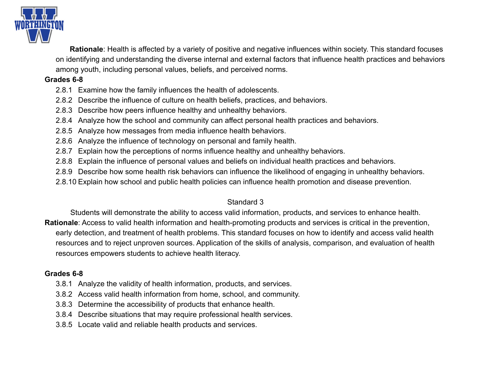

**Rationale**: Health is affected by a variety of positive and negative influences within society. This standard focuses on identifying and understanding the diverse internal and external factors that influence health practices and behaviors among youth, including personal values, beliefs, and perceived norms.

#### **Grades 6-8**

- 2.8.1 Examine how the family influences the health of adolescents.
- 2.8.2 Describe the influence of culture on health beliefs, practices, and behaviors.
- 2.8.3 Describe how peers influence healthy and unhealthy behaviors.
- 2.8.4 Analyze how the school and community can affect personal health practices and behaviors.
- 2.8.5 Analyze how messages from media influence health behaviors.
- 2.8.6 Analyze the influence of technology on personal and family health.
- 2.8.7 Explain how the perceptions of norms influence healthy and unhealthy behaviors.
- 2.8.8 Explain the influence of personal values and beliefs on individual health practices and behaviors.
- 2.8.9 Describe how some health risk behaviors can influence the likelihood of engaging in unhealthy behaviors.
- 2.8.10 Explain how school and public health policies can influence health promotion and disease prevention.

#### Standard 3

Students will demonstrate the ability to access valid information, products, and services to enhance health. **Rationale**: Access to valid health information and health-promoting products and services is critical in the prevention, early detection, and treatment of health problems. This standard focuses on how to identify and access valid health resources and to reject unproven sources. Application of the skills of analysis, comparison, and evaluation of health resources empowers students to achieve health literacy.

#### **Grades 6-8**

- 3.8.1 Analyze the validity of health information, products, and services.
- 3.8.2 Access valid health information from home, school, and community.
- 3.8.3 Determine the accessibility of products that enhance health.
- 3.8.4 Describe situations that may require professional health services.
- 3.8.5 Locate valid and reliable health products and services.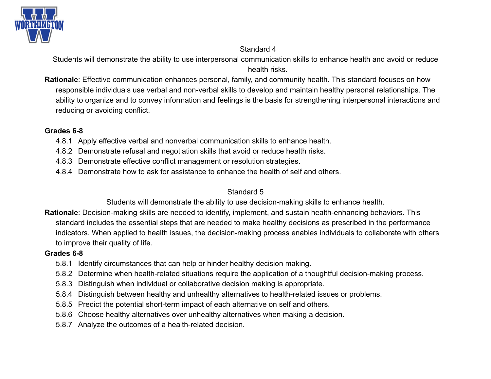

#### Standard 4

Students will demonstrate the ability to use interpersonal communication skills to enhance health and avoid or reduce health risks.

**Rationale**: Effective communication enhances personal, family, and community health. This standard focuses on how responsible individuals use verbal and non-verbal skills to develop and maintain healthy personal relationships. The ability to organize and to convey information and feelings is the basis for strengthening interpersonal interactions and reducing or avoiding conflict.

#### **Grades 6-8**

- 4.8.1 Apply effective verbal and nonverbal communication skills to enhance health.
- 4.8.2 Demonstrate refusal and negotiation skills that avoid or reduce health risks.
- 4.8.3 Demonstrate effective conflict management or resolution strategies.
- 4.8.4 Demonstrate how to ask for assistance to enhance the health of self and others.

### Standard 5

Students will demonstrate the ability to use decision-making skills to enhance health.

**Rationale**: Decision-making skills are needed to identify, implement, and sustain health-enhancing behaviors. This standard includes the essential steps that are needed to make healthy decisions as prescribed in the performance indicators. When applied to health issues, the decision-making process enables individuals to collaborate with others to improve their quality of life.

#### **Grades 6-8**

- 5.8.1 Identify circumstances that can help or hinder healthy decision making.
- 5.8.2 Determine when health-related situations require the application of a thoughtful decision-making process.
- 5.8.3 Distinguish when individual or collaborative decision making is appropriate.
- 5.8.4 Distinguish between healthy and unhealthy alternatives to health-related issues or problems.
- 5.8.5 Predict the potential short-term impact of each alternative on self and others.
- 5.8.6 Choose healthy alternatives over unhealthy alternatives when making a decision.
- 5.8.7 Analyze the outcomes of a health-related decision.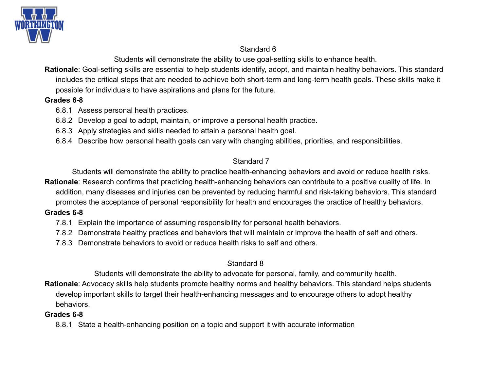

#### Standard 6

Students will demonstrate the ability to use goal-setting skills to enhance health.

**Rationale**: Goal-setting skills are essential to help students identify, adopt, and maintain healthy behaviors. This standard includes the critical steps that are needed to achieve both short-term and long-term health goals. These skills make it possible for individuals to have aspirations and plans for the future.

#### **Grades 6-8**

- 6.8.1 Assess personal health practices.
- 6.8.2 Develop a goal to adopt, maintain, or improve a personal health practice.
- 6.8.3 Apply strategies and skills needed to attain a personal health goal.
- 6.8.4 Describe how personal health goals can vary with changing abilities, priorities, and responsibilities.

## Standard 7

Students will demonstrate the ability to practice health-enhancing behaviors and avoid or reduce health risks. **Rationale**: Research confirms that practicing health-enhancing behaviors can contribute to a positive quality of life. In addition, many diseases and injuries can be prevented by reducing harmful and risk-taking behaviors. This standard promotes the acceptance of personal responsibility for health and encourages the practice of healthy behaviors.

### **Grades 6-8**

- 7.8.1 Explain the importance of assuming responsibility for personal health behaviors.
- 7.8.2 Demonstrate healthy practices and behaviors that will maintain or improve the health of self and others.
- 7.8.3 Demonstrate behaviors to avoid or reduce health risks to self and others.

## Standard 8

Students will demonstrate the ability to advocate for personal, family, and community health.

**Rationale**: Advocacy skills help students promote healthy norms and healthy behaviors. This standard helps students develop important skills to target their health-enhancing messages and to encourage others to adopt healthy behaviors.

## **Grades 6-8**

8.8.1 State a health-enhancing position on a topic and support it with accurate information